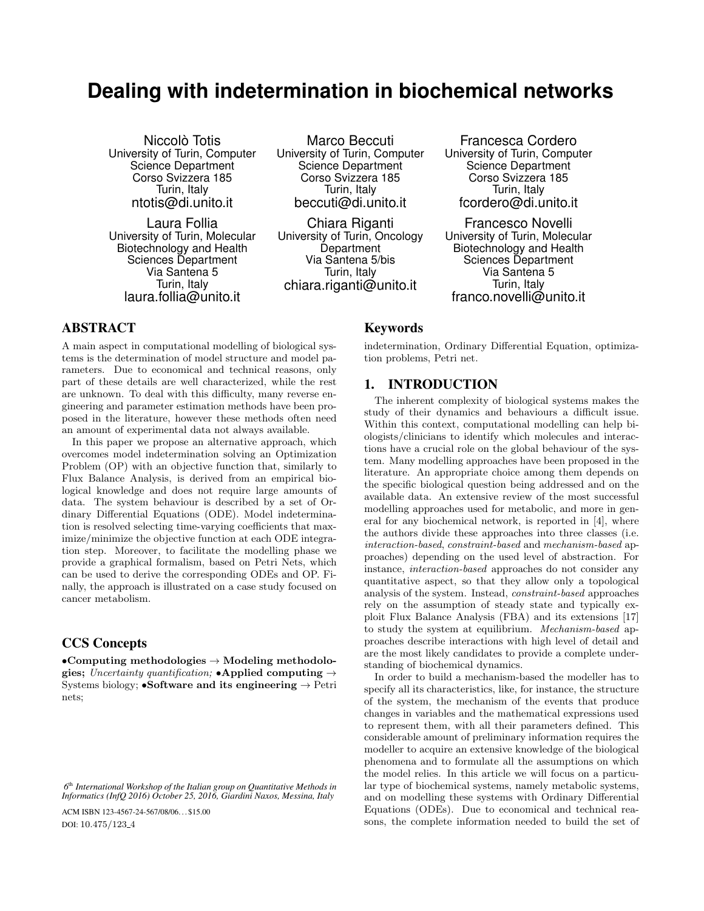# **Dealing with indetermination in biochemical networks**

Niccolò Totis University of Turin, Computer Science Department Corso Svizzera 185 Turin, Italy ntotis@di.unito.it

Laura Follia University of Turin, Molecular Biotechnology and Health Sciences Department Via Santena 5 Turin, Italy laura.follia@unito.it

Marco Beccuti University of Turin, Computer Science Department Corso Svizzera 185 Turin, Italy beccuti@di.unito.it

Chiara Riganti University of Turin, Oncology **Department** Via Santena 5/bis Turin, Italy chiara.riganti@unito.it

Francesca Cordero University of Turin, Computer Science Department Corso Svizzera 185 Turin, Italy fcordero@di.unito.it

Francesco Novelli University of Turin, Molecular Biotechnology and Health Sciences Department Via Santena 5 Turin, Italy franco.novelli@unito.it

# ABSTRACT

A main aspect in computational modelling of biological systems is the determination of model structure and model parameters. Due to economical and technical reasons, only part of these details are well characterized, while the rest are unknown. To deal with this difficulty, many reverse engineering and parameter estimation methods have been proposed in the literature, however these methods often need an amount of experimental data not always available.

In this paper we propose an alternative approach, which overcomes model indetermination solving an Optimization Problem (OP) with an objective function that, similarly to Flux Balance Analysis, is derived from an empirical biological knowledge and does not require large amounts of data. The system behaviour is described by a set of Ordinary Differential Equations (ODE). Model indetermination is resolved selecting time-varying coefficients that maximize/minimize the objective function at each ODE integration step. Moreover, to facilitate the modelling phase we provide a graphical formalism, based on Petri Nets, which can be used to derive the corresponding ODEs and OP. Finally, the approach is illustrated on a case study focused on cancer metabolism.

# CCS Concepts

•Computing methodologies  $\rightarrow$  Modeling methodologies; Uncertainty quantification; •Applied computing  $\rightarrow$ Systems biology; •Software and its engineering  $\rightarrow$  Petri nets;

ACM ISBN 123-4567-24-567/08/06. . . \$15.00 DOI: 10.475/123<sub>-4</sub>

# Keywords

indetermination, Ordinary Differential Equation, optimization problems, Petri net.

#### 1. INTRODUCTION

The inherent complexity of biological systems makes the study of their dynamics and behaviours a difficult issue. Within this context, computational modelling can help biologists/clinicians to identify which molecules and interactions have a crucial role on the global behaviour of the system. Many modelling approaches have been proposed in the literature. An appropriate choice among them depends on the specific biological question being addressed and on the available data. An extensive review of the most successful modelling approaches used for metabolic, and more in general for any biochemical network, is reported in [4], where the authors divide these approaches into three classes (i.e. interaction-based, constraint-based and mechanism-based approaches) depending on the used level of abstraction. For instance, interaction-based approaches do not consider any quantitative aspect, so that they allow only a topological analysis of the system. Instead, constraint-based approaches rely on the assumption of steady state and typically exploit Flux Balance Analysis (FBA) and its extensions [17] to study the system at equilibrium. Mechanism-based approaches describe interactions with high level of detail and are the most likely candidates to provide a complete understanding of biochemical dynamics.

In order to build a mechanism-based the modeller has to specify all its characteristics, like, for instance, the structure of the system, the mechanism of the events that produce changes in variables and the mathematical expressions used to represent them, with all their parameters defined. This considerable amount of preliminary information requires the modeller to acquire an extensive knowledge of the biological phenomena and to formulate all the assumptions on which the model relies. In this article we will focus on a particular type of biochemical systems, namely metabolic systems, and on modelling these systems with Ordinary Differential Equations (ODEs). Due to economical and technical reasons, the complete information needed to build the set of

*<sup>6</sup>* th *International Workshop of the Italian group on Quantitative Methods in Informatics (InfQ 2016) October 25, 2016, Giardini Naxos, Messina, Italy*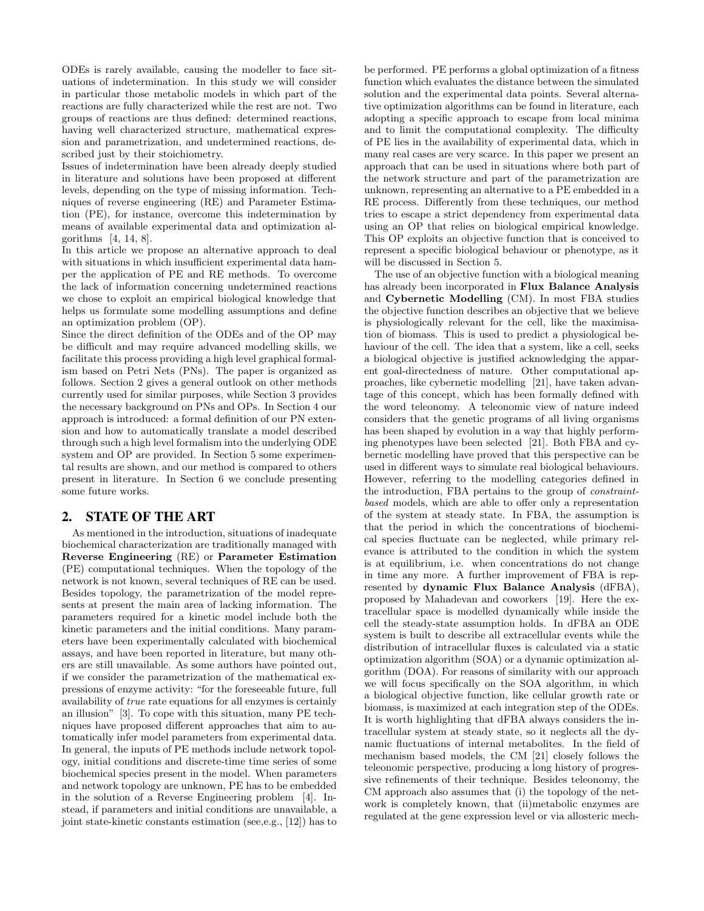ODEs is rarely available, causing the modeller to face situations of indetermination. In this study we will consider in particular those metabolic models in which part of the reactions are fully characterized while the rest are not. Two groups of reactions are thus defined: determined reactions, having well characterized structure, mathematical expression and parametrization, and undetermined reactions, described just by their stoichiometry.

Issues of indetermination have been already deeply studied in literature and solutions have been proposed at different levels, depending on the type of missing information. Techniques of reverse engineering (RE) and Parameter Estimation (PE), for instance, overcome this indetermination by means of available experimental data and optimization algorithms [4, 14, 8].

In this article we propose an alternative approach to deal with situations in which insufficient experimental data hamper the application of PE and RE methods. To overcome the lack of information concerning undetermined reactions we chose to exploit an empirical biological knowledge that helps us formulate some modelling assumptions and define an optimization problem (OP).

Since the direct definition of the ODEs and of the OP may be difficult and may require advanced modelling skills, we facilitate this process providing a high level graphical formalism based on Petri Nets (PNs). The paper is organized as follows. Section 2 gives a general outlook on other methods currently used for similar purposes, while Section 3 provides the necessary background on PNs and OPs. In Section 4 our approach is introduced: a formal definition of our PN extension and how to automatically translate a model described through such a high level formalism into the underlying ODE system and OP are provided. In Section 5 some experimental results are shown, and our method is compared to others present in literature. In Section 6 we conclude presenting some future works.

# 2. STATE OF THE ART

As mentioned in the introduction, situations of inadequate biochemical characterization are traditionally managed with Reverse Engineering (RE) or Parameter Estimation (PE) computational techniques. When the topology of the network is not known, several techniques of RE can be used. Besides topology, the parametrization of the model represents at present the main area of lacking information. The parameters required for a kinetic model include both the kinetic parameters and the initial conditions. Many parameters have been experimentally calculated with biochemical assays, and have been reported in literature, but many others are still unavailable. As some authors have pointed out, if we consider the parametrization of the mathematical expressions of enzyme activity: "for the foreseeable future, full availability of true rate equations for all enzymes is certainly an illusion" [3]. To cope with this situation, many PE techniques have proposed different approaches that aim to automatically infer model parameters from experimental data. In general, the inputs of PE methods include network topology, initial conditions and discrete-time time series of some biochemical species present in the model. When parameters and network topology are unknown, PE has to be embedded in the solution of a Reverse Engineering problem [4]. Instead, if parameters and initial conditions are unavailable, a joint state-kinetic constants estimation (see,e.g., [12]) has to

be performed. PE performs a global optimization of a fitness function which evaluates the distance between the simulated solution and the experimental data points. Several alternative optimization algorithms can be found in literature, each adopting a specific approach to escape from local minima and to limit the computational complexity. The difficulty of PE lies in the availability of experimental data, which in many real cases are very scarce. In this paper we present an approach that can be used in situations where both part of the network structure and part of the parametrization are unknown, representing an alternative to a PE embedded in a RE process. Differently from these techniques, our method tries to escape a strict dependency from experimental data using an OP that relies on biological empirical knowledge. This OP exploits an objective function that is conceived to represent a specific biological behaviour or phenotype, as it will be discussed in Section 5.

The use of an objective function with a biological meaning has already been incorporated in Flux Balance Analysis and Cybernetic Modelling (CM). In most FBA studies the objective function describes an objective that we believe is physiologically relevant for the cell, like the maximisation of biomass. This is used to predict a physiological behaviour of the cell. The idea that a system, like a cell, seeks a biological objective is justified acknowledging the apparent goal-directedness of nature. Other computational approaches, like cybernetic modelling [21], have taken advantage of this concept, which has been formally defined with the word teleonomy. A teleonomic view of nature indeed considers that the genetic programs of all living organisms has been shaped by evolution in a way that highly performing phenotypes have been selected [21]. Both FBA and cybernetic modelling have proved that this perspective can be used in different ways to simulate real biological behaviours. However, referring to the modelling categories defined in the introduction, FBA pertains to the group of constraintbased models, which are able to offer only a representation of the system at steady state. In FBA, the assumption is that the period in which the concentrations of biochemical species fluctuate can be neglected, while primary relevance is attributed to the condition in which the system is at equilibrium, i.e. when concentrations do not change in time any more. A further improvement of FBA is represented by dynamic Flux Balance Analysis (dFBA), proposed by Mahadevan and coworkers [19]. Here the extracellular space is modelled dynamically while inside the cell the steady-state assumption holds. In dFBA an ODE system is built to describe all extracellular events while the distribution of intracellular fluxes is calculated via a static optimization algorithm (SOA) or a dynamic optimization algorithm (DOA). For reasons of similarity with our approach we will focus specifically on the SOA algorithm, in which a biological objective function, like cellular growth rate or biomass, is maximized at each integration step of the ODEs. It is worth highlighting that dFBA always considers the intracellular system at steady state, so it neglects all the dynamic fluctuations of internal metabolites. In the field of mechanism based models, the CM [21] closely follows the teleonomic perspective, producing a long history of progressive refinements of their technique. Besides teleonomy, the CM approach also assumes that (i) the topology of the network is completely known, that (ii)metabolic enzymes are regulated at the gene expression level or via allosteric mech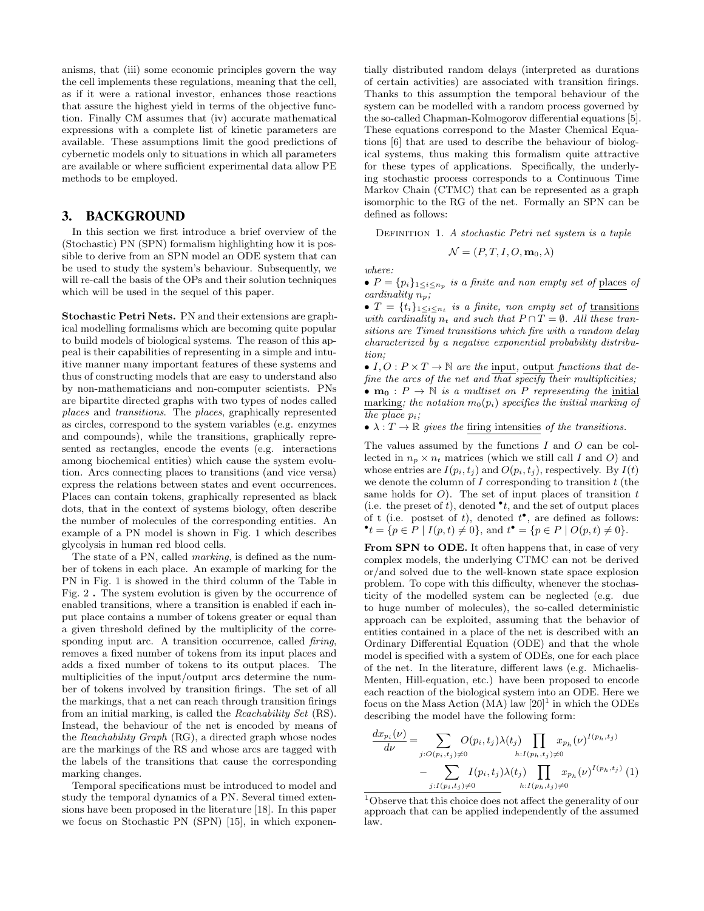anisms, that (iii) some economic principles govern the way the cell implements these regulations, meaning that the cell, as if it were a rational investor, enhances those reactions that assure the highest yield in terms of the objective function. Finally CM assumes that (iv) accurate mathematical expressions with a complete list of kinetic parameters are available. These assumptions limit the good predictions of cybernetic models only to situations in which all parameters are available or where sufficient experimental data allow PE methods to be employed.

#### 3. BACKGROUND

In this section we first introduce a brief overview of the (Stochastic) PN (SPN) formalism highlighting how it is possible to derive from an SPN model an ODE system that can be used to study the system's behaviour. Subsequently, we will re-call the basis of the OPs and their solution techniques which will be used in the sequel of this paper.

Stochastic Petri Nets. PN and their extensions are graphical modelling formalisms which are becoming quite popular to build models of biological systems. The reason of this appeal is their capabilities of representing in a simple and intuitive manner many important features of these systems and thus of constructing models that are easy to understand also by non-mathematicians and non-computer scientists. PNs are bipartite directed graphs with two types of nodes called places and transitions. The places, graphically represented as circles, correspond to the system variables (e.g. enzymes and compounds), while the transitions, graphically represented as rectangles, encode the events (e.g. interactions among biochemical entities) which cause the system evolution. Arcs connecting places to transitions (and vice versa) express the relations between states and event occurrences. Places can contain tokens, graphically represented as black dots, that in the context of systems biology, often describe the number of molecules of the corresponding entities. An example of a PN model is shown in Fig. 1 which describes glycolysis in human red blood cells.

The state of a PN, called marking, is defined as the number of tokens in each place. An example of marking for the PN in Fig. 1 is showed in the third column of the Table in Fig. 2 . The system evolution is given by the occurrence of enabled transitions, where a transition is enabled if each input place contains a number of tokens greater or equal than a given threshold defined by the multiplicity of the corresponding input arc. A transition occurrence, called *firing*, removes a fixed number of tokens from its input places and adds a fixed number of tokens to its output places. The multiplicities of the input/output arcs determine the number of tokens involved by transition firings. The set of all the markings, that a net can reach through transition firings from an initial marking, is called the Reachability Set (RS). Instead, the behaviour of the net is encoded by means of the Reachability Graph (RG), a directed graph whose nodes are the markings of the RS and whose arcs are tagged with the labels of the transitions that cause the corresponding marking changes.

Temporal specifications must be introduced to model and study the temporal dynamics of a PN. Several timed extensions have been proposed in the literature [18]. In this paper we focus on Stochastic PN (SPN) [15], in which exponentially distributed random delays (interpreted as durations of certain activities) are associated with transition firings. Thanks to this assumption the temporal behaviour of the system can be modelled with a random process governed by the so-called Chapman-Kolmogorov differential equations [5]. These equations correspond to the Master Chemical Equations [6] that are used to describe the behaviour of biological systems, thus making this formalism quite attractive for these types of applications. Specifically, the underlying stochastic process corresponds to a Continuous Time Markov Chain (CTMC) that can be represented as a graph isomorphic to the RG of the net. Formally an SPN can be defined as follows:

DEFINITION 1. A stochastic Petri net system is a tuple

$$
\mathcal{N} = (P, T, I, O, \mathbf{m}_0, \lambda)
$$

where:

•  $P = \{p_i\}_{1 \leq i \leq n_p}$  is a finite and non empty set of places of cardinality  $n_p$ ;

•  $T = \{t_i\}_{1 \leq i \leq n_t}$  is a finite, non empty set of transitions with cardinality  $n_t$  and such that  $P \cap T = \emptyset$ . All these transitions are Timed transitions which fire with a random delay characterized by a negative exponential probability distribution;

•  $I, O: P \times T \rightarrow \mathbb{N}$  are the input, output functions that define the arcs of the net and  $\overline{that}$  specify their multiplicities; •  $m_0$ :  $P \rightarrow \mathbb{N}$  is a multiset on P representing the initial marking; the notation  $m_0(p_i)$  specifies the initial marking of the place  $p_i$ ;

•  $\lambda: T \to \mathbb{R}$  gives the firing intensities of the transitions.

The values assumed by the functions I and O can be collected in  $n_p \times n_t$  matrices (which we still call I and O) and whose entries are  $I(p_i, t_j)$  and  $O(p_i, t_j)$ , respectively. By  $I(t)$ we denote the column of  $I$  corresponding to transition  $t$  (the same holds for  $O$ ). The set of input places of transition  $t$ (i.e. the preset of t), denoted  $\bullet t$ , and the set of output places of t (i.e. postset of t), denoted  $t^{\bullet}$ , are defined as follows:  $\bullet$  t = {p ∈ P | I(p, t) ≠ 0}, and t  $\bullet$  = {p ∈ P | O(p, t) ≠ 0}.

From SPN to ODE. It often happens that, in case of very complex models, the underlying CTMC can not be derived or/and solved due to the well-known state space explosion problem. To cope with this difficulty, whenever the stochasticity of the modelled system can be neglected (e.g. due to huge number of molecules), the so-called deterministic approach can be exploited, assuming that the behavior of entities contained in a place of the net is described with an Ordinary Differential Equation (ODE) and that the whole model is specified with a system of ODEs, one for each place of the net. In the literature, different laws (e.g. Michaelis-Menten, Hill-equation, etc.) have been proposed to encode each reaction of the biological system into an ODE. Here we focus on the Mass Action (MA) law  $[20]$ <sup>1</sup> in which the ODEs describing the model have the following form:

$$
\frac{dx_{p_i}(\nu)}{d\nu} = \sum_{j:O(p_i,t_j)\neq 0} O(p_i,t_j) \lambda(t_j) \prod_{h:I(p_h,t_j)\neq 0} x_{p_h}(\nu)^{I(p_h,t_j)} - \sum_{j:I(p_i,t_j)\neq 0} I(p_i,t_j) \lambda(t_j) \prod_{h:I(p_h,t_j)\neq 0} x_{p_h}(\nu)^{I(p_h,t_j)} (1)
$$

<sup>1</sup>Observe that this choice does not affect the generality of our approach that can be applied independently of the assumed law.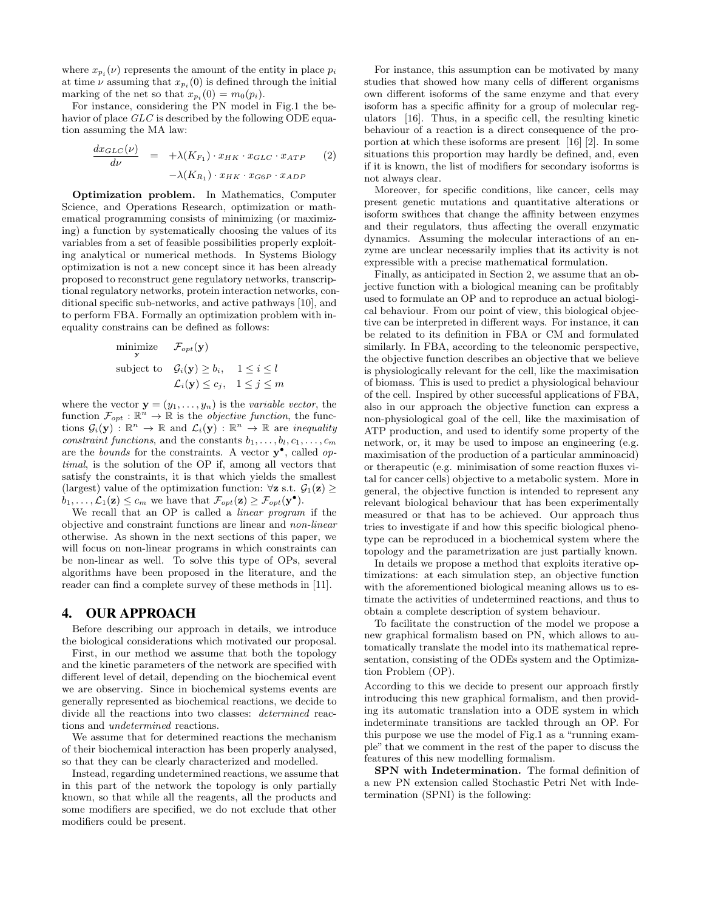where  $x_{p_i}(\nu)$  represents the amount of the entity in place  $p_i$ at time  $\nu$  assuming that  $x_{p_i}(0)$  is defined through the initial marking of the net so that  $x_{p_i}(0) = m_0(p_i)$ .

For instance, considering the PN model in Fig.1 the behavior of place GLC is described by the following ODE equation assuming the MA law:

$$
\frac{dx_{GLC}(\nu)}{d\nu} = +\lambda(K_{F_1}) \cdot x_{HK} \cdot x_{GLC} \cdot x_{ATP} \qquad (2)
$$

$$
-\lambda(K_{R_1}) \cdot x_{HK} \cdot x_{G6P} \cdot x_{ADP}
$$

Optimization problem. In Mathematics, Computer Science, and Operations Research, optimization or mathematical programming consists of minimizing (or maximizing) a function by systematically choosing the values of its variables from a set of feasible possibilities properly exploiting analytical or numerical methods. In Systems Biology optimization is not a new concept since it has been already proposed to reconstruct gene regulatory networks, transcriptional regulatory networks, protein interaction networks, conditional specific sub-networks, and active pathways [10], and to perform FBA. Formally an optimization problem with inequality constrains can be defined as follows:

minimize 
$$
\mathcal{F}_{opt}(\mathbf{y})
$$
  
subject to  $\mathcal{G}_i(\mathbf{y}) \ge b_i$ ,  $1 \le i \le l$   
 $\mathcal{L}_i(\mathbf{y}) \le c_j$ ,  $1 \le j \le m$ 

where the vector  $\mathbf{y} = (y_1, \ldots, y_n)$  is the *variable vector*, the function  $\mathcal{F}_{opt} : \mathbb{R}^n \to \mathbb{R}$  is the *objective function*, the functions  $\mathcal{G}_i(\mathbf{y})$ :  $\mathbb{R}^n \to \mathbb{R}$  and  $\mathcal{L}_i(\mathbf{y})$ :  $\mathbb{R}^n \to \mathbb{R}$  are *inequality* constraint functions, and the constants  $b_1, \ldots, b_l, c_1, \ldots, c_m$ are the *bounds* for the constraints. A vector  $y^{\bullet}$ , called *op*timal, is the solution of the OP if, among all vectors that satisfy the constraints, it is that which yields the smallest (largest) value of the optimization function:  $\forall z$  s.t.  $\mathcal{G}_1(z) \geq$  $b_1, \ldots, \mathcal{L}_1(\mathbf{z}) \leq c_m$  we have that  $\mathcal{F}_{opt}(\mathbf{z}) \geq \mathcal{F}_{opt}(\mathbf{y}^{\bullet}).$ 

We recall that an OP is called a linear program if the objective and constraint functions are linear and non-linear otherwise. As shown in the next sections of this paper, we will focus on non-linear programs in which constraints can be non-linear as well. To solve this type of OPs, several algorithms have been proposed in the literature, and the reader can find a complete survey of these methods in [11].

#### 4. OUR APPROACH

Before describing our approach in details, we introduce the biological considerations which motivated our proposal.

First, in our method we assume that both the topology and the kinetic parameters of the network are specified with different level of detail, depending on the biochemical event we are observing. Since in biochemical systems events are generally represented as biochemical reactions, we decide to divide all the reactions into two classes: determined reactions and undetermined reactions.

We assume that for determined reactions the mechanism of their biochemical interaction has been properly analysed, so that they can be clearly characterized and modelled.

Instead, regarding undetermined reactions, we assume that in this part of the network the topology is only partially known, so that while all the reagents, all the products and some modifiers are specified, we do not exclude that other modifiers could be present.

For instance, this assumption can be motivated by many studies that showed how many cells of different organisms own different isoforms of the same enzyme and that every isoform has a specific affinity for a group of molecular regulators [16]. Thus, in a specific cell, the resulting kinetic behaviour of a reaction is a direct consequence of the proportion at which these isoforms are present [16] [2]. In some situations this proportion may hardly be defined, and, even if it is known, the list of modifiers for secondary isoforms is not always clear.

Moreover, for specific conditions, like cancer, cells may present genetic mutations and quantitative alterations or isoform swithces that change the affinity between enzymes and their regulators, thus affecting the overall enzymatic dynamics. Assuming the molecular interactions of an enzyme are unclear necessarily implies that its activity is not expressible with a precise mathematical formulation.

Finally, as anticipated in Section 2, we assume that an objective function with a biological meaning can be profitably used to formulate an OP and to reproduce an actual biological behaviour. From our point of view, this biological objective can be interpreted in different ways. For instance, it can be related to its definition in FBA or CM and formulated similarly. In FBA, according to the teleonomic perspective, the objective function describes an objective that we believe is physiologically relevant for the cell, like the maximisation of biomass. This is used to predict a physiological behaviour of the cell. Inspired by other successful applications of FBA, also in our approach the objective function can express a non-physiological goal of the cell, like the maximisation of ATP production, and used to identify some property of the network, or, it may be used to impose an engineering (e.g. maximisation of the production of a particular amminoacid) or therapeutic (e.g. minimisation of some reaction fluxes vital for cancer cells) objective to a metabolic system. More in general, the objective function is intended to represent any relevant biological behaviour that has been experimentally measured or that has to be achieved. Our approach thus tries to investigate if and how this specific biological phenotype can be reproduced in a biochemical system where the topology and the parametrization are just partially known.

In details we propose a method that exploits iterative optimizations: at each simulation step, an objective function with the aforementioned biological meaning allows us to estimate the activities of undetermined reactions, and thus to obtain a complete description of system behaviour.

To facilitate the construction of the model we propose a new graphical formalism based on PN, which allows to automatically translate the model into its mathematical representation, consisting of the ODEs system and the Optimization Problem (OP).

According to this we decide to present our approach firstly introducing this new graphical formalism, and then providing its automatic translation into a ODE system in which indeterminate transitions are tackled through an OP. For this purpose we use the model of Fig.1 as a "running example" that we comment in the rest of the paper to discuss the features of this new modelling formalism.

SPN with Indetermination. The formal definition of a new PN extension called Stochastic Petri Net with Indetermination (SPNI) is the following: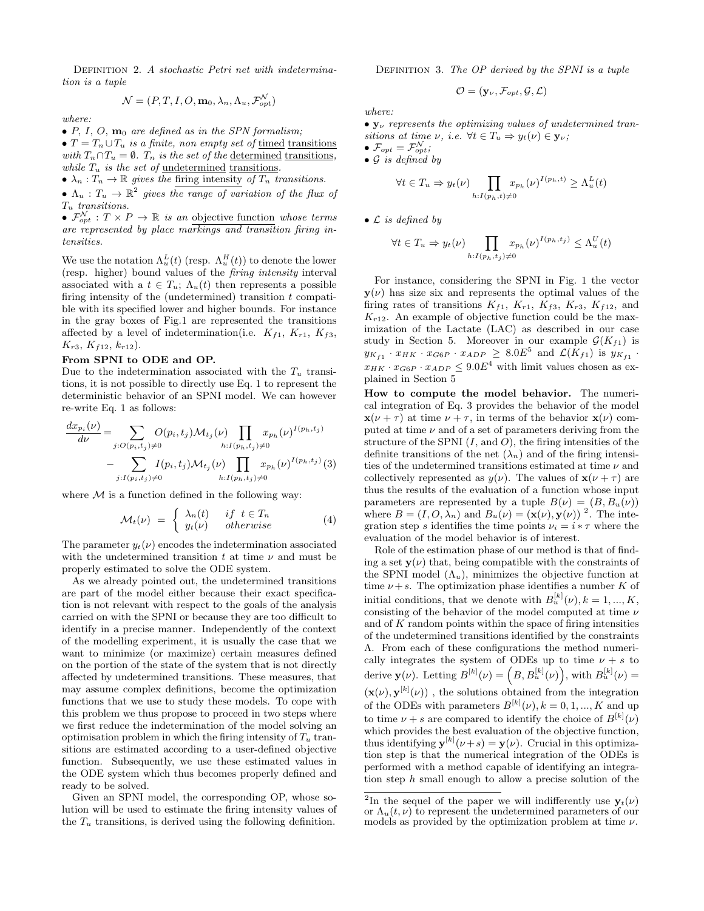DEFINITION 2. A stochastic Petri net with indetermination is a tuple

$$
\mathcal{N} = (P, T, I, O, \mathbf{m}_0, \lambda_n, \Lambda_u, \mathcal{F}_{opt}^{\mathcal{N}})
$$

where:

 $\bullet$  P, I, O,  $\mathbf{m}_0$  are defined as in the SPN formalism;

•  $T = T_n \cup T_u$  is a finite, non empty set of timed transitions with  $T_n \cap T_u = \emptyset$ .  $T_n$  is the set of the determined transitions, while  $T_u$  is the set of <u>undetermined transitions</u>.

•  $\lambda_n : T_n \to \mathbb{R}$  gives the firing intensity of  $T_n$  transitions.

•  $\Lambda_u : T_u \to \mathbb{R}^2$  gives the range of variation of the flux of  $T_u$  transitions.

•  $\mathcal{F}_{opt}^{\mathcal{N}}: T \times P \to \mathbb{R}$  is an objective function whose terms are represented by place markings and transition firing intensities.

We use the notation  $\Lambda_u^L(t)$  (resp.  $\Lambda_u^H(t)$ ) to denote the lower (resp. higher) bound values of the firing intensity interval associated with a  $t \in T_u$ ;  $\Lambda_u(t)$  then represents a possible firing intensity of the (undetermined) transition  $t$  compatible with its specified lower and higher bounds. For instance in the gray boxes of Fig.1 are represented the transitions affected by a level of indetermination(i.e.  $K_{f1}$ ,  $K_{r1}$ ,  $K_{f3}$ ,  $K_{r3}$ ,  $K_{f12}$ ,  $k_{r12}$ ).

## From SPNI to ODE and OP.

Due to the indetermination associated with the  $T_u$  transitions, it is not possible to directly use Eq. 1 to represent the deterministic behavior of an SPNI model. We can however re-write Eq. 1 as follows:

$$
\frac{dx_{p_i}(\nu)}{d\nu} = \sum_{j:O(p_i,t_j)\neq 0} O(p_i,t_j) \mathcal{M}_{t_j}(\nu) \prod_{h:I(p_h,t_j)\neq 0} x_{p_h}(\nu)^{I(p_h,t_j)} \n- \sum_{j:I(p_i,t_j)\neq 0} I(p_i,t_j) \mathcal{M}_{t_j}(\nu) \prod_{h:I(p_h,t_j)\neq 0} x_{p_h}(\nu)^{I(p_h,t_j)} (3)
$$

where  $M$  is a function defined in the following way:

$$
\mathcal{M}_t(\nu) = \begin{cases} \lambda_n(t) & \text{if } t \in T_n \\ y_t(\nu) & \text{otherwise} \end{cases} \tag{4}
$$

The parameter  $y_t(\nu)$  encodes the indetermination associated with the undetermined transition t at time  $\nu$  and must be properly estimated to solve the ODE system.

As we already pointed out, the undetermined transitions are part of the model either because their exact specification is not relevant with respect to the goals of the analysis carried on with the SPNI or because they are too difficult to identify in a precise manner. Independently of the context of the modelling experiment, it is usually the case that we want to minimize (or maximize) certain measures defined on the portion of the state of the system that is not directly affected by undetermined transitions. These measures, that may assume complex definitions, become the optimization functions that we use to study these models. To cope with this problem we thus propose to proceed in two steps where we first reduce the indetermination of the model solving an optimisation problem in which the firing intensity of  $T_u$  transitions are estimated according to a user-defined objective function. Subsequently, we use these estimated values in the ODE system which thus becomes properly defined and ready to be solved.

Given an SPNI model, the corresponding OP, whose solution will be used to estimate the firing intensity values of the  $T_u$  transitions, is derived using the following definition.

DEFINITION 3. The  $OP$  derived by the SPNI is a tuple

$$
\mathcal{O} = (\mathbf{y}_{\nu}, \mathcal{F}_{opt}, \mathcal{G}, \mathcal{L})
$$

where:

 $\bullet$   $\mathbf{y}_{\nu}$  represents the optimizing values of undetermined transitions at time  $\nu$ , i.e.  $\forall t \in T_u \Rightarrow y_t(\nu) \in \mathbf{y}_{\nu}$ ;

 $\bullet$   $\mathcal{F}_{opt} = \mathcal{F}_{opt}^{\mathcal{N}};$ 

 $\bullet$  G is defined by

$$
\forall t \in T_u \Rightarrow y_t(\nu) \prod_{h: I(p_h, t) \neq 0} x_{p_h}(\nu)^{I(p_h, t)} \ge \Lambda_u^L(t)
$$

 $\bullet$  *C* is defined by

$$
\forall t \in T_u \Rightarrow y_t(\nu) \prod_{h: I(p_h, t_j) \neq 0} x_{p_h}(\nu)^{I(p_h, t_j)} \leq \Lambda_u^U(t)
$$

For instance, considering the SPNI in Fig. 1 the vector  $y(\nu)$  has size six and represents the optimal values of the firing rates of transitions  $K_{f1}$ ,  $K_{r1}$ ,  $K_{f3}$ ,  $K_{r3}$ ,  $K_{f12}$ , and  $K_{r12}$ . An example of objective function could be the maximization of the Lactate (LAC) as described in our case study in Section 5. Moreover in our example  $\mathcal{G}(K_{f1})$  is  $y_{K_{f1}} \cdot x_{HK} \cdot x_{G6P} \cdot x_{ADP} \geq 8.0E^5$  and  $\mathcal{L}(K_{f1})$  is  $y_{K_{f1}}$ .  $x_{HK} \cdot x_{G6P} \cdot x_{ADP} \leq 9.0E^4$  with limit values chosen as explained in Section 5

How to compute the model behavior. The numerical integration of Eq. 3 provides the behavior of the model  $\mathbf{x}(\nu + \tau)$  at time  $\nu + \tau$ , in terms of the behavior  $\mathbf{x}(\nu)$  computed at time  $\nu$  and of a set of parameters deriving from the structure of the SPNI  $(I, \text{and } O)$ , the firing intensities of the definite transitions of the net  $(\lambda_n)$  and of the firing intensities of the undetermined transitions estimated at time  $\nu$  and collectively represented as  $y(\nu)$ . The values of  $\mathbf{x}(\nu + \tau)$  are thus the results of the evaluation of a function whose input parameters are represented by a tuple  $B(\nu) = (B, B_u(\nu))$ where  $B = (I, O, \lambda_n)$  and  $B_u(\nu) = (\mathbf{x}(\nu), \mathbf{y}(\nu))^2$ . The integration step s identifies the time points  $\nu_i = i * \tau$  where the evaluation of the model behavior is of interest.

Role of the estimation phase of our method is that of finding a set  $y(\nu)$  that, being compatible with the constraints of the SPNI model  $(\Lambda_u)$ , minimizes the objective function at time  $\nu + s$ . The optimization phase identifies a number K of initial conditions, that we denote with  $B_u^{[k]}(\nu)$ ,  $k = 1, ..., K$ , consisting of the behavior of the model computed at time  $\nu$ and of  $K$  random points within the space of firing intensities of the undetermined transitions identified by the constraints Λ. From each of these configurations the method numerically integrates the system of ODEs up to time  $\nu + s$  to derive  $\mathbf{y}(\nu)$ . Letting  $B^{[k]}(\nu) = (B, B^{[k]}_u(\nu))$ , with  $B^{[k]}_u(\nu) =$  $(\mathbf{x}(\nu), \mathbf{y}^{[k]}(\nu))$ , the solutions obtained from the integration of the ODEs with parameters  $B^{[k]}(\nu)$ ,  $k = 0, 1, ..., K$  and up to time  $\nu + s$  are compared to identify the choice of  $B^{[k]}(\nu)$ which provides the best evaluation of the objective function, thus identifying  $\mathbf{y}^{[k]}(\nu + s) = \mathbf{y}(\nu)$ . Crucial in this optimization step is that the numerical integration of the ODEs is performed with a method capable of identifying an integration step h small enough to allow a precise solution of the

<sup>&</sup>lt;sup>2</sup>In the sequel of the paper we will indifferently use  $y_t(\nu)$ or  $\Lambda_u(t,\nu)$  to represent the undetermined parameters of our models as provided by the optimization problem at time  $\nu$ .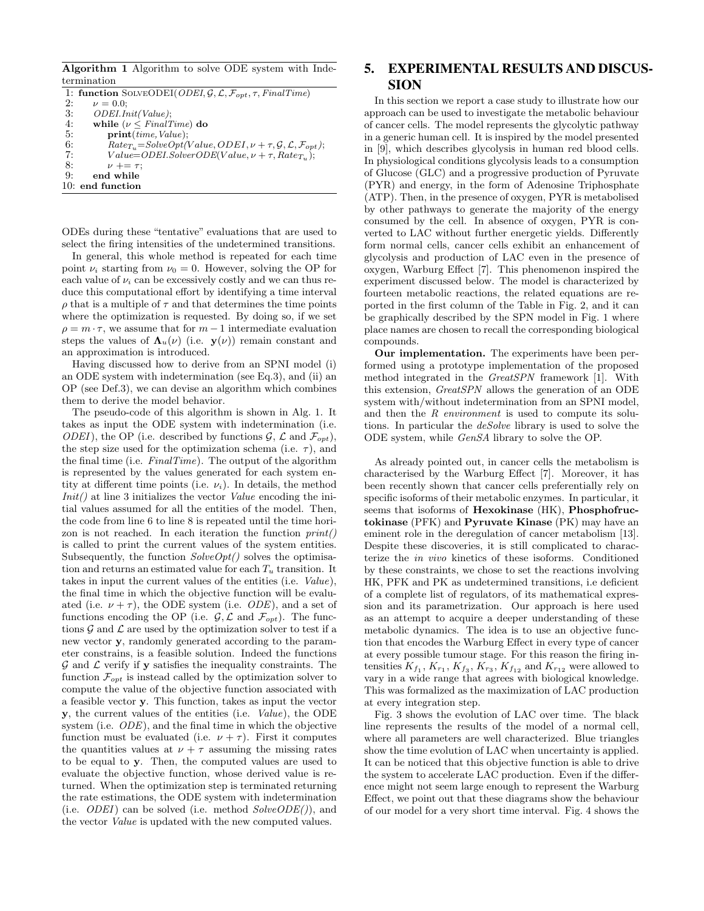Algorithm 1 Algorithm to solve ODE system with Indetermination

|    | 1: function SOLVEODEI(ODEI, $G, \mathcal{L}, \mathcal{F}_{opt}, \tau$ , FinalTime)             |  |  |
|----|------------------------------------------------------------------------------------------------|--|--|
| 2: | $\nu = 0.0;$                                                                                   |  |  |
| 3: | ODEI.Init(Value);                                                                              |  |  |
| 4: | while ( $\nu \leq FinalTime$ ) do                                                              |  |  |
| 5: | print(time, Value);                                                                            |  |  |
| 6: | $Rate_{T_u} = SolveOpt(Value, ODEI, \nu + \tau, \mathcal{G}, \mathcal{L}, \mathcal{F}_{opt});$ |  |  |
| 7: | $Value=ODEI.SolverODE(Value, \nu + \tau, Rate_{T_u});$                                         |  |  |
| 8: | $\nu + = \tau$ ;                                                                               |  |  |
| 9: | end while                                                                                      |  |  |
|    | $10:$ end function                                                                             |  |  |

ODEs during these "tentative" evaluations that are used to select the firing intensities of the undetermined transitions.

In general, this whole method is repeated for each time point  $\nu_i$  starting from  $\nu_0 = 0$ . However, solving the OP for each value of  $\nu_i$  can be excessively costly and we can thus reduce this computational effort by identifying a time interval  $\rho$  that is a multiple of  $\tau$  and that determines the time points where the optimization is requested. By doing so, if we set  $\rho = m \cdot \tau$ , we assume that for  $m-1$  intermediate evaluation steps the values of  $\Lambda_u(\nu)$  (i.e.  $y(\nu)$ ) remain constant and an approximation is introduced.

Having discussed how to derive from an SPNI model (i) an ODE system with indetermination (see Eq.3), and (ii) an OP (see Def.3), we can devise an algorithm which combines them to derive the model behavior.

The pseudo-code of this algorithm is shown in Alg. 1. It takes as input the ODE system with indetermination (i.e. ODEI), the OP (i.e. described by functions  $\mathcal{G}, \mathcal{L}$  and  $\mathcal{F}_{opt}$ ), the step size used for the optimization schema (i.e.  $\tau$ ), and the final time (i.e.  $FinalTime$ ). The output of the algorithm is represented by the values generated for each system entity at different time points (i.e.  $\nu_i$ ). In details, the method  $Init()$  at line 3 initializes the vector *Value* encoding the initial values assumed for all the entities of the model. Then, the code from line 6 to line 8 is repeated until the time horizon is not reached. In each iteration the function  $print()$ is called to print the current values of the system entities. Subsequently, the function  $SolveOpt()$  solves the optimisation and returns an estimated value for each  $T_u$  transition. It takes in input the current values of the entities (i.e. Value), the final time in which the objective function will be evaluated (i.e.  $\nu + \tau$ ), the ODE system (i.e. *ODE*), and a set of functions encoding the OP (i.e.  $\mathcal{G}, \mathcal{L}$  and  $\mathcal{F}_{opt}$ ). The functions  $\mathcal G$  and  $\mathcal L$  are used by the optimization solver to test if a new vector y, randomly generated according to the parameter constrains, is a feasible solution. Indeed the functions  $\mathcal G$  and  $\mathcal L$  verify if **y** satisfies the inequality constraints. The function  $\mathcal{F}_{opt}$  is instead called by the optimization solver to compute the value of the objective function associated with a feasible vector y. This function, takes as input the vector y, the current values of the entities (i.e. Value), the ODE system (i.e. ODE), and the final time in which the objective function must be evaluated (i.e.  $\nu + \tau$ ). First it computes the quantities values at  $\nu + \tau$  assuming the missing rates to be equal to y. Then, the computed values are used to evaluate the objective function, whose derived value is returned. When the optimization step is terminated returning the rate estimations, the ODE system with indetermination (i.e.  $ODEI$ ) can be solved (i.e. method  $SolveODE()$ ), and the vector Value is updated with the new computed values.

# 5. EXPERIMENTAL RESULTS AND DISCUS-SION

In this section we report a case study to illustrate how our approach can be used to investigate the metabolic behaviour of cancer cells. The model represents the glycolytic pathway in a generic human cell. It is inspired by the model presented in [9], which describes glycolysis in human red blood cells. In physiological conditions glycolysis leads to a consumption of Glucose (GLC) and a progressive production of Pyruvate (PYR) and energy, in the form of Adenosine Triphosphate (ATP). Then, in the presence of oxygen, PYR is metabolised by other pathways to generate the majority of the energy consumed by the cell. In absence of oxygen, PYR is converted to LAC without further energetic yields. Differently form normal cells, cancer cells exhibit an enhancement of glycolysis and production of LAC even in the presence of oxygen, Warburg Effect [7]. This phenomenon inspired the experiment discussed below. The model is characterized by fourteen metabolic reactions, the related equations are reported in the first column of the Table in Fig. 2, and it can be graphically described by the SPN model in Fig. 1 where place names are chosen to recall the corresponding biological compounds.

Our implementation. The experiments have been performed using a prototype implementation of the proposed method integrated in the GreatSPN framework [1]. With this extension, GreatSPN allows the generation of an ODE system with/without indetermination from an SPNI model, and then the R environment is used to compute its solutions. In particular the deSolve library is used to solve the ODE system, while GenSA library to solve the OP.

As already pointed out, in cancer cells the metabolism is characterised by the Warburg Effect [7]. Moreover, it has been recently shown that cancer cells preferentially rely on specific isoforms of their metabolic enzymes. In particular, it seems that isoforms of Hexokinase (HK), Phosphofructokinase (PFK) and Pyruvate Kinase (PK) may have an eminent role in the deregulation of cancer metabolism [13]. Despite these discoveries, it is still complicated to characterize the in vivo kinetics of these isoforms. Conditioned by these constraints, we chose to set the reactions involving HK, PFK and PK as undetermined transitions, i.e deficient of a complete list of regulators, of its mathematical expression and its parametrization. Our approach is here used as an attempt to acquire a deeper understanding of these metabolic dynamics. The idea is to use an objective function that encodes the Warburg Effect in every type of cancer at every possible tumour stage. For this reason the firing intensities  $K_{f_1}, K_{r_1}, K_{f_3}, K_{r_3}, K_{f_{12}}$  and  $K_{r_{12}}$  were allowed to vary in a wide range that agrees with biological knowledge. This was formalized as the maximization of LAC production at every integration step.

Fig. 3 shows the evolution of LAC over time. The black line represents the results of the model of a normal cell, where all parameters are well characterized. Blue triangles show the time evolution of LAC when uncertainty is applied. It can be noticed that this objective function is able to drive the system to accelerate LAC production. Even if the difference might not seem large enough to represent the Warburg Effect, we point out that these diagrams show the behaviour of our model for a very short time interval. Fig. 4 shows the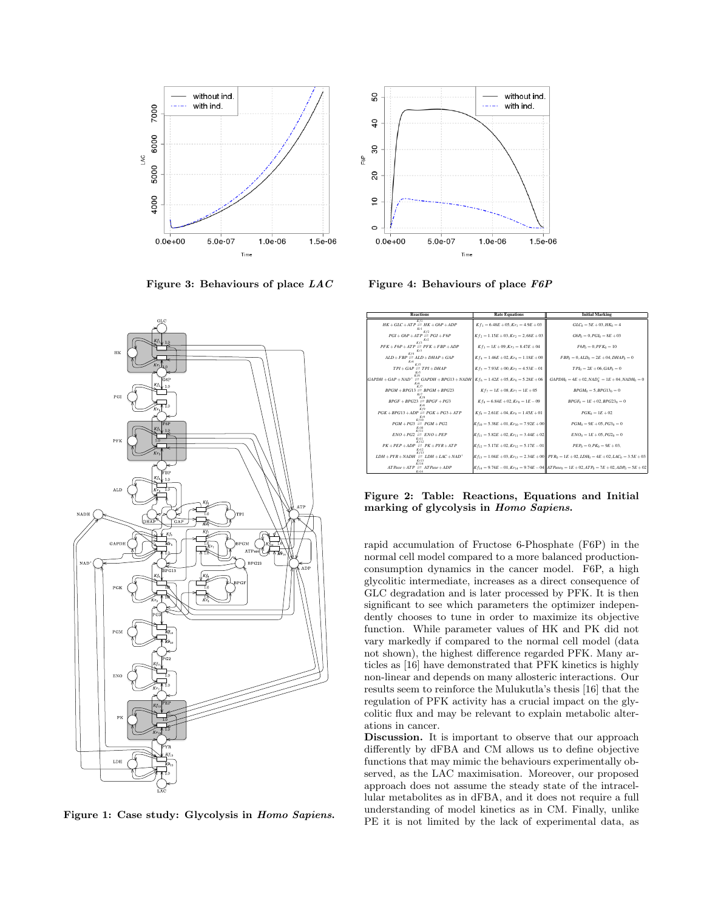

Figure 3: Behaviours of place  $LAC$  Figure 4: Behaviours of place  $F6P$ 



Figure 1: Case study: Glycolysis in Homo Sapiens.



| <b>Reactions</b>                                                                                          | <b>Rate Equations</b>                             | <b>Initial Marking</b>                                                                                       |
|-----------------------------------------------------------------------------------------------------------|---------------------------------------------------|--------------------------------------------------------------------------------------------------------------|
| $HK + GLC + ATP \cong HK + G6P + ADP$                                                                     | $Kf_1 = 6.48E + 05$ , $Kr_1 = 4.9E + 03$          | $GLC_0 = 5E + 03, HK_0 = 4$                                                                                  |
| Kf2<br>$PGI + G6P + ATP \rightleftharpoons PGI + F6P$                                                     | $Kf_2 = 1.15E + 03$ . $Kr_2 = 2.68E + 03$         | $G6P_0 = 0$ , $PGI_0 = 8E + 03$                                                                              |
| K C<br>$PFK + F6P + ATP \rightleftharpoons PFK + FBP + ADP$                                               | $Kf_3 = 1E + 09, Kr_3 = 8.47E + 04$               | $F6P_0 = 0.PFK_0 = 10$                                                                                       |
| $ALD + FBP \cong ALD + DHAP + GAP$                                                                        | $Kf_4 = 1.46E + 02, Kr_4 = 1.18E + 00$            | $FBP_0 = 0, ALD_0 = 2E + 04, DHAP_0 = 0$                                                                     |
| $TPI + GAP \rightleftharpoons TPI + DHAP$                                                                 | $Kf_5 = 7.93E + 00$ . $Kr_5 = 4.53E - 01$         | $TPL_0 = 2E + 06$ , $GAP_0 = 0$                                                                              |
| $GAPDH + GAP + NAD^{+} \rightleftharpoons GAPDH + BPG13 + NADH$ $Kf_6 = 1.42E + 05$ , $Kr_6 = 5.28E + 06$ |                                                   | $GAPDH_0 = 4E + 02, NAD_0^+ = 1E + 04, NADH_0 = 0$                                                           |
| $BPGM + BPG13 \ncong BPGM + BPG23$                                                                        | $Kf_7 = 1E + 08$ , $Kr_7 = 1E + 05$               | $BPGM_0 = 5, BPG13_0 = 0$                                                                                    |
| $BPGF + BPG23 \ncong BPGF + PG3$                                                                          | $Kf_8 = 6.84E + 02$ , $Kr_8 = 1E - 09$            | $BPGF_0 = 1E + 02.BPG23_0 = 0$                                                                               |
| $PGK + BPG13 + ADP \ncong PGK + PG3 + ATP$                                                                | $Kf_9 = 2.61E + 04$ , $Kr_9 = 1.45E + 01$         | $P G K_0 = 1E + 02$                                                                                          |
| $PGM + PG3 \cong PGM + PG2$<br>$K = 10$                                                                   | $K f_{10} = 5.38E + 01$ , $K r_{10} = 7.92E + 00$ | $PGM_0 = 9E + 05$ , $PG3_0 = 0$                                                                              |
| $ENO+PG2 \cong ENO+PEP$                                                                                   | $Kf_{11} = 5.82E + 02, Kr_{11} = 3.44E + 02$      | $ENO_0 = 1E + 05, PG2_0 = 0$                                                                                 |
| Kf17<br>$PK + PEP + ADP \equiv PK + PYR + ATP$                                                            | $Kf_{12} = 5.17E + 02, Kr_{12} = 5.17E - 01$      | $PEP_0 = 0.PK_0 = 9E + 03.$                                                                                  |
| Kf13<br>$LDH + PYR + NADH \cong LDH + LAC + NAD^{+}$<br>Kr13                                              |                                                   | $Kf_{13} = 1.04E + 03$ , $Kr_{13} = 2.34E + 00$ $PYR_0 = 1E + 02$ , $LDH_0 = 4E + 02$ , $LAC_0 = 3.5E + 03$  |
| Kf14<br>$ATPase + ATP \equiv ATPase + ADP$<br>Kr14                                                        |                                                   | $Kf_{14} = 9.74E - 01$ , $Kr_{14} = 9.74E - 04$ $ATPase_0 = 1E + 02$ , $ATP_0 = 7E + 02$ , $ADP_0 = 5E + 02$ |

Figure 2: Table: Reactions, Equations and Initial marking of glycolysis in Homo Sapiens.

rapid accumulation of Fructose 6-Phosphate (F6P) in the normal cell model compared to a more balanced productionconsumption dynamics in the cancer model. F6P, a high glycolitic intermediate, increases as a direct consequence of GLC degradation and is later processed by PFK. It is then significant to see which parameters the optimizer independently chooses to tune in order to maximize its objective function. While parameter values of HK and PK did not vary markedly if compared to the normal cell model (data not shown), the highest difference regarded PFK. Many articles as [16] have demonstrated that PFK kinetics is highly non-linear and depends on many allosteric interactions. Our results seem to reinforce the Mulukutla's thesis [16] that the regulation of PFK activity has a crucial impact on the glycolitic flux and may be relevant to explain metabolic alterations in cancer.

Discussion. It is important to observe that our approach differently by dFBA and CM allows us to define objective functions that may mimic the behaviours experimentally observed, as the LAC maximisation. Moreover, our proposed approach does not assume the steady state of the intracellular metabolites as in dFBA, and it does not require a full understanding of model kinetics as in CM. Finally, unlike PE it is not limited by the lack of experimental data, as